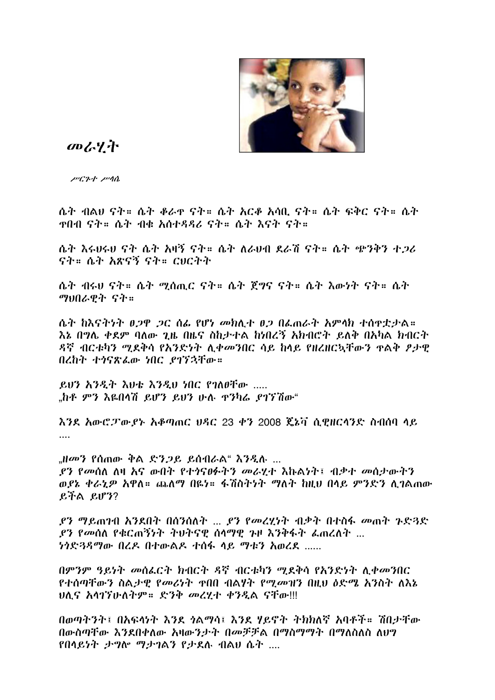

のみぞ

 $\mu$ C2+  $\mu$ 10

ሴት ብልሀ ናት። ሴት ቆራዋ ናት። ሴት አርቆ አሳቢ ናት። ሴት ፍቅር ናት። ሴት ዋበብ ናት። ሴት ብቁ አሰተዳዳሪ ናት። ሴት እናት ናት።

ሴት እሩሀሩሀ ናት ሴት አዛኝ ናት። ሴት ለራሀብ ደራሽ ናት። ሴት ጭንቅን ተጋሪ ናት። ሴት አጽናኝ ናት። ርፀርትት

ሴት ብሩሀ ናት። ሴት ሚሰጢር ናት። ሴት ጀግና ናት። ሴት እውነት ናት። ሴት ማህበራዊት ናት።

ሴት ከእናትነት ፀ.2ዋ .2ር ሰፌ የሆነ መክሊተ ፀ.2 በፌጠራት አምላክ ተሰዋቷታል። እኔ በግሌ ቀደም ባለው ጊዜ በዜና ስከታተል ከነበረኝ አክብሮት ይለቅ በአካል ክብርት ዳኛ ብርቱካን ሚደቅሳ የአንድነት ሊቀመንበር ሳይ ከላይ የዘረዘርኳቸውን ዋልቅ ፆታዊ በረከት ተነናጽፌው ነበር ያገኘኋቸው።

ይሆን እንዲት እህቴ እንዲህ ነበር የገለፀቸው ..... ..ከቶ ምን እዬበሳሽ ይሆን ይሆን ሁሉ ዋንካሬ ያገኘሽው"

እንደ አውሮፓውያኑ አቆጣጠር ሀዳር 23 ቀን 2008 ጄኔቫ ሲዊዘርላንድ ስብሰባ ላይ

"ዘመን የሰጠው ቅል ድንጋይ ይሰብራል" እንዲሉ ... ያን የመሰለ ለዛ እና ውበት የተነናፀፉትን መራሂተ እኩልነት፤ ብቃተ መሰታውትን ወደኔ ቀራኒዎ አዋለ። ጨለማ በዬነ። ፋሽስትነት ማለት ከዚህ በላይ ምንድን ሊገልጠው 

*ያን ግ*ይጠገብ እንደበት በሰንሰለት ... *ያን የመረሂነ*ት ብቃት በተስፋ መጠት ጉድ3ድ ያን የመሰለ የቁርጠኝንት ትህትናዊ ሰላማዊ ጉዞ እንቅፋት ፌጠረለት ... *ነጎድጓዳማው* በረዶ በተውልዶ ተሰፋ ላይ ማቱን አወረደ ......

በምንም ዓይነት መሰፌርት ክብርት ዳኛ ብርቱካን ሚደቅሳ የአንድነት ሊቀመንበር የተሰጣቸውን ስልታዊ የመሪነት ዋበበ ብልሃት የሚመዝን በዚህ ዕድሜ አንስት ለእኔ ህሊና አሳገኘሁለትም። ድንቅ መረሂተ ቀንዲል ናቸው!!!

በወጣትንት፤ በአፍላነት እንደ ጎልማሳ፤ እንደ ሃይኖት ትክክለኛ አባቶች። ሽበታቸው በውስጣቸው እንደበቀለው አዛውንታት በመቻቻል በማስማማት በማለስለስ ለፀግ የበላይነት ታግሎ ማታገልን የታደሉ ብልሀ ሴት ....